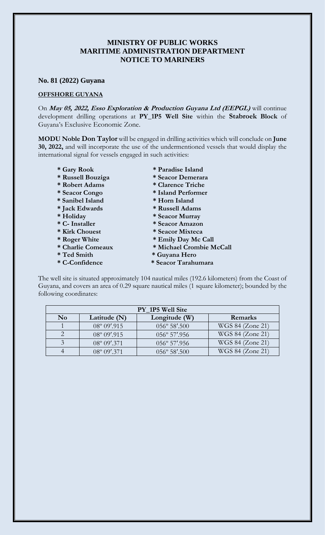## **MINISTRY OF PUBLIC WORKS MARITIME ADMINISTRATION DEPARTMENT NOTICE TO MARINERS**

## **No. 81 (2022) Guyana**

## **OFFSHORE GUYANA**

On **May 05, 2022, Esso Exploration & Production Guyana Ltd (EEPGL)** will continue development drilling operations at **PY\_1P5 Well Site** within the **Stabroek Block** of Guyana's Exclusive Economic Zone.

**MODU Noble Don Taylor** will be engaged in drilling activities which will conclude on **June 30, 2022,** and will incorporate the use of the undermentioned vessels that would display the international signal for vessels engaged in such activities:

- 
- **\* Russell Bouziga \* Seacor Demerara**
- **\* Robert Adams \* Clarence Triche**
- 
- **\* Sanibel Island \* Horn Island**
- **\* Jack Edwards \* Russell Adams**
- 
- 
- 
- 
- 
- 
- 
- **\* Gary Rook \* Paradise Island**
	-
	-
- **\* Seacor Congo \* Island Performer** 
	-
	-
- **\* Holiday \* Seacor Murray**
- **\* C- Installer \* Seacor Amazon**
- **\* Kirk Chouest \* Seacor Mixteca**
- **\* Roger White \* Emily Day Mc Call**
- **\* Charlie Comeaux \* Michael Crombie McCall**
- **\* Ted Smith \* Guyana Hero**
- **\* C-Confidence \* Seacor Tarahumara**

The well site is situated approximately 104 nautical miles (192.6 kilometers) from the Coast of Guyana, and covers an area of 0.29 square nautical miles (1 square kilometer); bounded by the following coordinates:

| PY_1P5 Well Site |                       |                        |                  |
|------------------|-----------------------|------------------------|------------------|
| N <sub>0</sub>   | Latitude (N)          | Longitude (W)          | Remarks          |
|                  | 08° 09'.915           | $056^{\circ} 58'$ .500 | WGS 84 (Zone 21) |
|                  | $08^{\circ} 09'$ .915 | $056^{\circ}$ 57'.956  | WGS 84 (Zone 21) |
|                  | $08^{\circ} 09'$ .371 | 056° 57'.956           | WGS 84 (Zone 21) |
|                  | $08^{\circ} 09'$ .371 | 056° 58'.500           | WGS 84 (Zone 21) |